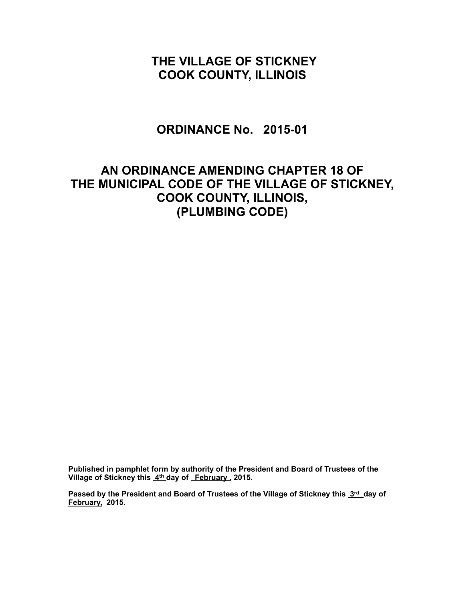# **THE VILLAGE OF STICKNEY COOK COUNTY, ILLINOIS**

### **ORDINANCE No. 2015-01**

# **AN ORDINANCE AMENDING CHAPTER 18 OF THE MUNICIPAL CODE OF THE VILLAGE OF STICKNEY, COOK COUNTY, ILLINOIS, (PLUMBING CODE)**

**Published in pamphlet form by authority of the President and Board of Trustees of the Village of Stickney this 4th day of February , 2015.**

Passed by the President and Board of Trustees of the Village of Stickney this 3rd day of **February, 2015.**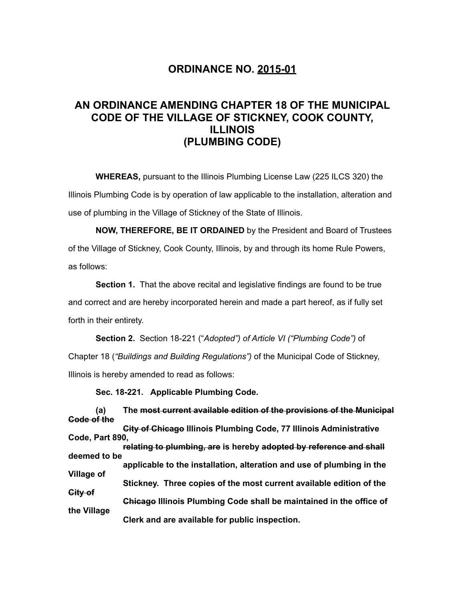### **ORDINANCE NO. 2015-01**

### **AN ORDINANCE AMENDING CHAPTER 18 OF THE MUNICIPAL CODE OF THE VILLAGE OF STICKNEY, COOK COUNTY, ILLINOIS (PLUMBING CODE)**

 **WHEREAS,** pursuant to the Illinois Plumbing License Law (225 ILCS 320) the Illinois Plumbing Code is by operation of law applicable to the installation, alteration and use of plumbing in the Village of Stickney of the State of Illinois.

**NOW, THEREFORE, BE IT ORDAINED** by the President and Board of Trustees of the Village of Stickney, Cook County, Illinois, by and through its home Rule Powers, as follows:

**Section 1.** That the above recital and legislative findings are found to be true and correct and are hereby incorporated herein and made a part hereof, as if fully set forth in their entirety.

**Section 2.** Section 18-221 ("*Adopted") of Article VI ("Plumbing Code")* of Chapter 18 (*"Buildings and Building Regulations")* of the Municipal Code of Stickney, Illinois is hereby amended to read as follows:

**Sec. 18-221. Applicable Plumbing Code.**

 **(a) The most current available edition of the provisions of the Municipal Code of the City of Chicago Illinois Plumbing Code, 77 Illinois Administrative** 

**Code, Part 890, relating to plumbing, are is hereby adopted by reference and shall**

**deemed to be applicable to the installation, alteration and use of plumbing in the Village of Stickney. Three copies of the most current available edition of the City of Chicago Illinois Plumbing Code shall be maintained in the office of the Village Clerk and are available for public inspection.**